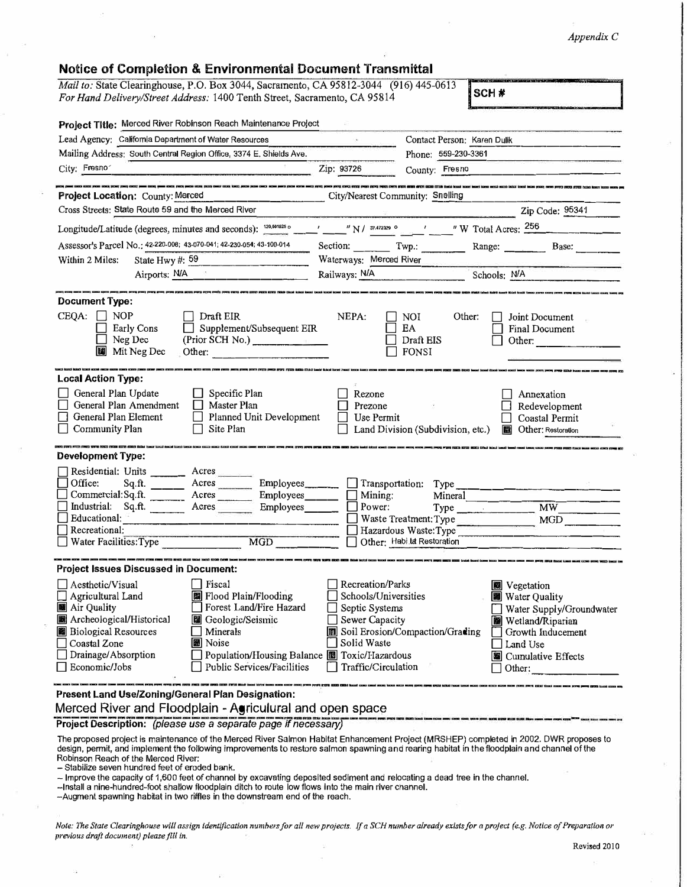## *Appendix C*

## **Notice of Completion & Environmental Document Transmittal**

*Mail to:* State Clearinghouse, P.O. Box 3044, Sacramento, CA 95812-3044 (916) 445-0613 *For Hand Delivery/Street Address:* 1400 Tenth Street, Sacramento, CA 95814 **SCH # SCH # SCH # SCH # SCH # SCH # SCH # SCH # SCH # SCH # SCH # SCH # SCH # SCH # SCH # SCH # SCH # SCH # S** 

| Project Title: Merced River Robinson Reach Maintenance Project                                                                                                                                                                 |                                                                             |                                                                                                                                                                                                                                    |                                                                              |
|--------------------------------------------------------------------------------------------------------------------------------------------------------------------------------------------------------------------------------|-----------------------------------------------------------------------------|------------------------------------------------------------------------------------------------------------------------------------------------------------------------------------------------------------------------------------|------------------------------------------------------------------------------|
| Lead Agency: California Department of Water Resources                                                                                                                                                                          |                                                                             | Contact Person: Karen Dullik                                                                                                                                                                                                       |                                                                              |
| Mailing Address: South Central Region Office, 3374 E. Shields Ave.                                                                                                                                                             |                                                                             | Phone: 559-230-3361                                                                                                                                                                                                                |                                                                              |
| City: Fresno                                                                                                                                                                                                                   | Zip: 93726                                                                  | County: Fresno                                                                                                                                                                                                                     |                                                                              |
| <b>Project Location: County: Merced</b>                                                                                                                                                                                        | City/Nearest Community: Snelling                                            |                                                                                                                                                                                                                                    |                                                                              |
| Cross Streets: State Route 59 and the Merced River                                                                                                                                                                             |                                                                             | $\mathcal{R}$ . The contract of the contract of the contract of the contract of the contract of the contract of the contract of the contract of the contract of the contract of the contract of the contract of the contract of th | Zip Code: 95341                                                              |
| Longitude/Latitude (degrees, minutes and seconds): 20.6019250 ______ "N/ \ 37.472329 \ ____ "W Total Acres: 256                                                                                                                |                                                                             |                                                                                                                                                                                                                                    |                                                                              |
| Assessor's Parcel No.: 42-220-008; 43-070-041; 42-230-054; 43-100-014<br>and a series of                                                                                                                                       |                                                                             |                                                                                                                                                                                                                                    | Section: Twp.: Range: Range: Base:                                           |
| Within 2 Miles:<br>State Hwy $\#$ : $59$                                                                                                                                                                                       | Waterways: Merced River                                                     |                                                                                                                                                                                                                                    |                                                                              |
| Airports: N/A and a state of the state of the state of the state of the state of the state of the state of the state of the state of the state of the state of the state of the state of the state of the state of the state o |                                                                             | Railways: N/A Schools: N/A                                                                                                                                                                                                         |                                                                              |
| <b>Document Type:</b>                                                                                                                                                                                                          | .<br>Internal lectural internal leasing states and an anti-material states. |                                                                                                                                                                                                                                    |                                                                              |
| $CEQA: \Box NOP$<br>$\Box$ Draft EIR<br>□ Early Cons □ Supplement/Subsequent EIR<br>$\Box$<br>Neg Dec<br>(Prior SCH No.)<br>Mit Neg Dec Other:                                                                                 | NEPA:                                                                       | NOI 11<br>Other:<br>EA<br>Draft EIS<br>$\Box$ FONSI                                                                                                                                                                                | Joint Document<br>Final Document<br>$\Box$ Other:                            |
| <b>Local Action Type:</b>                                                                                                                                                                                                      |                                                                             |                                                                                                                                                                                                                                    |                                                                              |
| General Plan Update<br>$\Box$ Specific Plan<br>General Plan Amendment<br>$\Box$ Master Plan<br>General Plan Element<br>Planned Unit Development<br>$\Box$ Community Plan<br>Site Plan                                          | Rezone<br>Prezone<br>Use Permit                                             | Land Division (Subdivision, etc.)                                                                                                                                                                                                  | Annexation<br>Redevelopment<br>Coastal Permit<br><b>B</b> Other: Restoration |
| Development Type:                                                                                                                                                                                                              |                                                                             |                                                                                                                                                                                                                                    |                                                                              |
| Residential: Units __________ Acres                                                                                                                                                                                            |                                                                             |                                                                                                                                                                                                                                    |                                                                              |
| Sq.ft. ________ Acres ________ Employees ________ __ Transportation: Type _________________________<br>$\Box$ Office:                                                                                                          |                                                                             |                                                                                                                                                                                                                                    |                                                                              |
| Commercial: Sq. ft. Acres Employees Mining:<br>Industrial: $Sq.f.$ Acres Employees Beneficial: $Sq.f.$                                                                                                                         |                                                                             | Mineral                                                                                                                                                                                                                            | $\overline{\text{MW}}$                                                       |
| $\Box$ Educational:                                                                                                                                                                                                            |                                                                             | Waste Treatment: Type                                                                                                                                                                                                              | <b>MGD</b>                                                                   |
| $\Box$ Recreational:                                                                                                                                                                                                           |                                                                             | Hazardous Waste: Type                                                                                                                                                                                                              |                                                                              |
|                                                                                                                                                                                                                                |                                                                             | Other: Habi La Restoration                                                                                                                                                                                                         |                                                                              |
| <b>Project Issues Discussed in Document:</b>                                                                                                                                                                                   |                                                                             |                                                                                                                                                                                                                                    |                                                                              |
| $\Box$ Aesthetic/Visual<br>  Fiscal                                                                                                                                                                                            | $\Box$ Recreation/Parks                                                     |                                                                                                                                                                                                                                    | <b>图</b> Vegetation                                                          |
| $\Box$ Agricultural Land<br><b>图 Flood Plain/Flooding</b>                                                                                                                                                                      | Schools/Universities                                                        |                                                                                                                                                                                                                                    | $\blacksquare$ Water Quality                                                 |
| <b>圖 Air Quality</b><br>Forest Land/Fire Hazard<br>图 Archeological/Historical                                                                                                                                                  | Septic Systems<br>U                                                         |                                                                                                                                                                                                                                    | $\Box$ Water Supply/Groundwater                                              |
| Geologic/Seismic<br><b>B</b> Biological Resources<br>Minerals                                                                                                                                                                  | Sewer Capacity                                                              | Soil Erosion/Compaction/Grading                                                                                                                                                                                                    | Wetland/Riparian<br>Growth Inducement                                        |
| Coastal Zone<br>圖 Noise                                                                                                                                                                                                        | Solid Waste                                                                 |                                                                                                                                                                                                                                    | Land Use                                                                     |
| Drainage/Absorption<br>Population/Housing Balance <b>6</b> Toxic/Hazardous                                                                                                                                                     |                                                                             |                                                                                                                                                                                                                                    | <b>■</b> Cumulative Effects                                                  |
| $\Box$ Economic/Jobs<br>Public Services/Facilities                                                                                                                                                                             | Traffic/Circulation                                                         |                                                                                                                                                                                                                                    | Other:                                                                       |
| Present Land Use/Zoning/General Plan Designation:<br>Merced River and Floodplain - Agriculural and open space<br>Project Description: (please use a separate page if necessary)                                                |                                                                             |                                                                                                                                                                                                                                    |                                                                              |
|                                                                                                                                                                                                                                |                                                                             |                                                                                                                                                                                                                                    |                                                                              |

The proposed project is maintenance of the Merced River Salmon Habitat Enhancement Project (MRSHEP) completed in 2002. DWR proposes to design, permit, and implement the following improvements to restore salmon spawning and rearing habitat in the floodplain and channel of the Robinson Reach of the Merced River:

-- Stabilize seven hundred feet of eroded bank.

-- Improve the capacity of 1,600 feet of channel by excavating deposited sediment and relocating a dead tree in the channel.

--Install a nine-hundred-foot shallow floodplain ditch to route low flows Into the main river channel.

--Augment spawning habitat in two riffles in the downstream end of the reach.

*Note: The State Clearinghouse will assign identification numbers/or all new projects. If a SCH number already exists/or a project (e.g. Notice of Preparation or previous draft document) please fill in.*